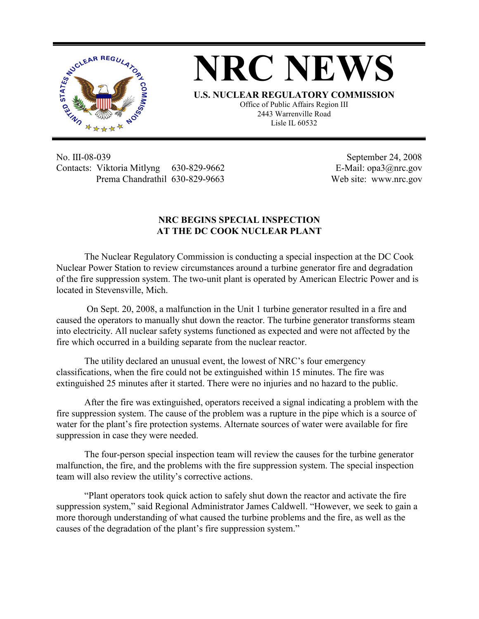

**NRC NEWS U.S. NUCLEAR REGULATORY COMMISSION**

Office of Public Affairs Region III 2443 Warrenville Road Lisle IL 60532

No. III-08-039 Contacts: Viktoria Mitlyng 630-829-9662 Prema Chandrathil 630-829-9663

 September 24, 2008 E-Mail: opa3@nrc.gov Web site: www.nrc.gov

## **NRC BEGINS SPECIAL INSPECTION AT THE DC COOK NUCLEAR PLANT**

The Nuclear Regulatory Commission is conducting a special inspection at the DC Cook Nuclear Power Station to review circumstances around a turbine generator fire and degradation of the fire suppression system. The two-unit plant is operated by American Electric Power and is located in Stevensville, Mich.

 On Sept. 20, 2008, a malfunction in the Unit 1 turbine generator resulted in a fire and caused the operators to manually shut down the reactor. The turbine generator transforms steam into electricity. All nuclear safety systems functioned as expected and were not affected by the fire which occurred in a building separate from the nuclear reactor.

The utility declared an unusual event, the lowest of NRC's four emergency classifications, when the fire could not be extinguished within 15 minutes. The fire was extinguished 25 minutes after it started. There were no injuries and no hazard to the public.

After the fire was extinguished, operators received a signal indicating a problem with the fire suppression system. The cause of the problem was a rupture in the pipe which is a source of water for the plant's fire protection systems. Alternate sources of water were available for fire suppression in case they were needed.

The four-person special inspection team will review the causes for the turbine generator malfunction, the fire, and the problems with the fire suppression system. The special inspection team will also review the utility's corrective actions.

"Plant operators took quick action to safely shut down the reactor and activate the fire suppression system," said Regional Administrator James Caldwell. "However, we seek to gain a more thorough understanding of what caused the turbine problems and the fire, as well as the causes of the degradation of the plant's fire suppression system."